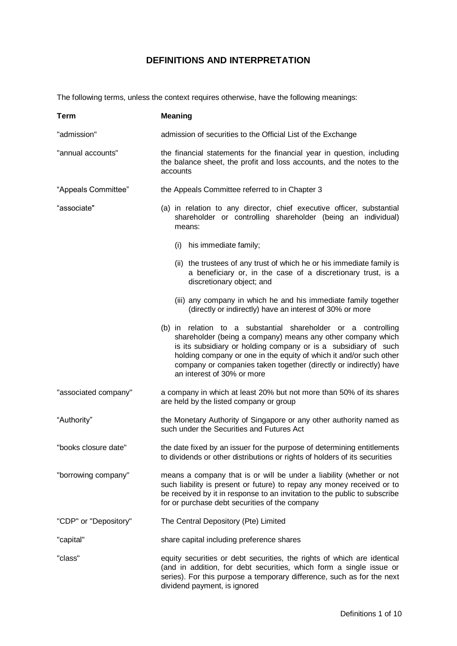## **DEFINITIONS AND INTERPRETATION**

The following terms, unless the context requires otherwise, have the following meanings:

| <b>Term</b>           | <b>Meaning</b>                                                                                                                                                                                                                                                                                                                                                           |
|-----------------------|--------------------------------------------------------------------------------------------------------------------------------------------------------------------------------------------------------------------------------------------------------------------------------------------------------------------------------------------------------------------------|
| "admission"           | admission of securities to the Official List of the Exchange                                                                                                                                                                                                                                                                                                             |
| "annual accounts"     | the financial statements for the financial year in question, including<br>the balance sheet, the profit and loss accounts, and the notes to the<br>accounts                                                                                                                                                                                                              |
| "Appeals Committee"   | the Appeals Committee referred to in Chapter 3                                                                                                                                                                                                                                                                                                                           |
| "associate"           | (a) in relation to any director, chief executive officer, substantial<br>shareholder or controlling shareholder (being an individual)<br>means:                                                                                                                                                                                                                          |
|                       | his immediate family;<br>(i)                                                                                                                                                                                                                                                                                                                                             |
|                       | (ii) the trustees of any trust of which he or his immediate family is<br>a beneficiary or, in the case of a discretionary trust, is a<br>discretionary object; and                                                                                                                                                                                                       |
|                       | (iii) any company in which he and his immediate family together<br>(directly or indirectly) have an interest of 30% or more                                                                                                                                                                                                                                              |
|                       | (b) in relation to a substantial shareholder or a controlling<br>shareholder (being a company) means any other company which<br>is its subsidiary or holding company or is a subsidiary of such<br>holding company or one in the equity of which it and/or such other<br>company or companies taken together (directly or indirectly) have<br>an interest of 30% or more |
| "associated company"  | a company in which at least 20% but not more than 50% of its shares<br>are held by the listed company or group                                                                                                                                                                                                                                                           |
| "Authority"           | the Monetary Authority of Singapore or any other authority named as<br>such under the Securities and Futures Act                                                                                                                                                                                                                                                         |
| "books closure date"  | the date fixed by an issuer for the purpose of determining entitlements<br>to dividends or other distributions or rights of holders of its securities                                                                                                                                                                                                                    |
| "borrowing company"   | means a company that is or will be under a liability (whether or not<br>such liability is present or future) to repay any money received or to<br>be received by it in response to an invitation to the public to subscribe<br>for or purchase debt securities of the company                                                                                            |
| "CDP" or "Depository" | The Central Depository (Pte) Limited                                                                                                                                                                                                                                                                                                                                     |
| "capital"             | share capital including preference shares                                                                                                                                                                                                                                                                                                                                |
| "class"               | equity securities or debt securities, the rights of which are identical<br>(and in addition, for debt securities, which form a single issue or<br>series). For this purpose a temporary difference, such as for the next<br>dividend payment, is ignored                                                                                                                 |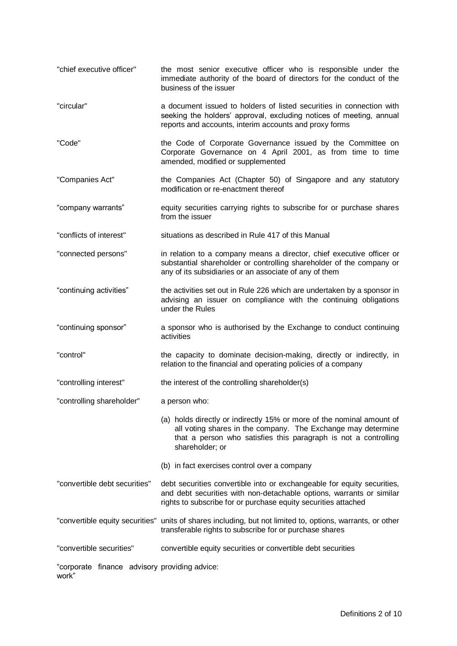"chief executive officer" the most senior executive officer who is responsible under the immediate authority of the board of directors for the conduct of the business of the issuer "circular" a document issued to holders of listed securities in connection with seeking the holders' approval, excluding notices of meeting, annual reports and accounts, interim accounts and proxy forms "Code" the Code of Corporate Governance issued by the Committee on Corporate Governance on 4 April 2001, as from time to time amended, modified or supplemented "Companies Act" the Companies Act (Chapter 50) of Singapore and any statutory modification or re-enactment thereof "company warrants" equity securities carrying rights to subscribe for or purchase shares from the issuer "conflicts of interest" situations as described in Rule 417 of this Manual "connected persons" in relation to a company means a director, chief executive officer or substantial shareholder or controlling shareholder of the company or any of its subsidiaries or an associate of any of them "continuing activities" the activities set out in Rule 226 which are undertaken by a sponsor in advising an issuer on compliance with the continuing obligations under the Rules "continuing sponsor" a sponsor who is authorised by the Exchange to conduct continuing activities "control" the capacity to dominate decision-making, directly or indirectly, in relation to the financial and operating policies of a company "controlling interest" the interest of the controlling shareholder(s) "controlling shareholder" a person who: (a) holds directly or indirectly 15% or more of the nominal amount of all voting shares in the company. The Exchange may determine that a person who satisfies this paragraph is not a controlling shareholder; or (b) in fact exercises control over a company "convertible debt securities" debt securities convertible into or exchangeable for equity securities, and debt securities with non-detachable options, warrants or similar rights to subscribe for or purchase equity securities attached "convertible equity securities" units of shares including, but not limited to, options, warrants, or other transferable rights to subscribe for or purchase shares "convertible securities" convertible equity securities or convertible debt securities "corporate finance advisory providing advice:work"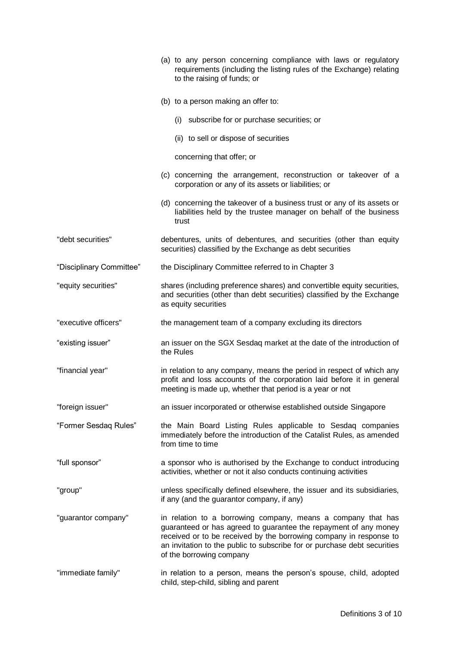|                          | (a) to any person concerning compliance with laws or regulatory<br>requirements (including the listing rules of the Exchange) relating<br>to the raising of funds; or                                                                                                                                          |
|--------------------------|----------------------------------------------------------------------------------------------------------------------------------------------------------------------------------------------------------------------------------------------------------------------------------------------------------------|
|                          | (b) to a person making an offer to:                                                                                                                                                                                                                                                                            |
|                          | (i) subscribe for or purchase securities; or                                                                                                                                                                                                                                                                   |
|                          | (ii) to sell or dispose of securities                                                                                                                                                                                                                                                                          |
|                          | concerning that offer; or                                                                                                                                                                                                                                                                                      |
|                          | (c) concerning the arrangement, reconstruction or takeover of a<br>corporation or any of its assets or liabilities; or                                                                                                                                                                                         |
|                          | (d) concerning the takeover of a business trust or any of its assets or<br>liabilities held by the trustee manager on behalf of the business<br>trust                                                                                                                                                          |
| "debt securities"        | debentures, units of debentures, and securities (other than equity<br>securities) classified by the Exchange as debt securities                                                                                                                                                                                |
| "Disciplinary Committee" | the Disciplinary Committee referred to in Chapter 3                                                                                                                                                                                                                                                            |
| "equity securities"      | shares (including preference shares) and convertible equity securities,<br>and securities (other than debt securities) classified by the Exchange<br>as equity securities                                                                                                                                      |
| "executive officers"     | the management team of a company excluding its directors                                                                                                                                                                                                                                                       |
| "existing issuer"        | an issuer on the SGX Sesdaq market at the date of the introduction of<br>the Rules                                                                                                                                                                                                                             |
| "financial year"         | in relation to any company, means the period in respect of which any<br>profit and loss accounts of the corporation laid before it in general<br>meeting is made up, whether that period is a year or not                                                                                                      |
| "foreign issuer"         | an issuer incorporated or otherwise established outside Singapore                                                                                                                                                                                                                                              |
| "Former Sesdaq Rules"    | the Main Board Listing Rules applicable to Sesdaq companies<br>immediately before the introduction of the Catalist Rules, as amended<br>from time to time                                                                                                                                                      |
| "full sponsor"           | a sponsor who is authorised by the Exchange to conduct introducing<br>activities, whether or not it also conducts continuing activities                                                                                                                                                                        |
| "group"                  | unless specifically defined elsewhere, the issuer and its subsidiaries,<br>if any (and the guarantor company, if any)                                                                                                                                                                                          |
| "guarantor company"      | in relation to a borrowing company, means a company that has<br>guaranteed or has agreed to guarantee the repayment of any money<br>received or to be received by the borrowing company in response to<br>an invitation to the public to subscribe for or purchase debt securities<br>of the borrowing company |
| "immediate family"       | in relation to a person, means the person's spouse, child, adopted<br>child, step-child, sibling and parent                                                                                                                                                                                                    |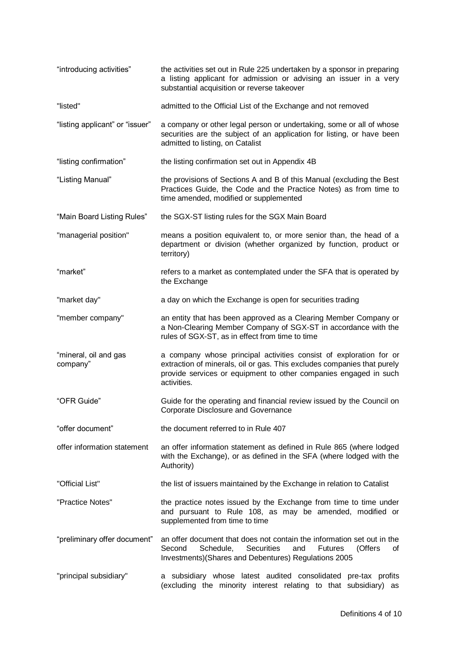| "introducing activities"          | the activities set out in Rule 225 undertaken by a sponsor in preparing<br>a listing applicant for admission or advising an issuer in a very<br>substantial acquisition or reverse takeover                                      |  |
|-----------------------------------|----------------------------------------------------------------------------------------------------------------------------------------------------------------------------------------------------------------------------------|--|
| "listed"                          | admitted to the Official List of the Exchange and not removed                                                                                                                                                                    |  |
| "listing applicant" or "issuer"   | a company or other legal person or undertaking, some or all of whose<br>securities are the subject of an application for listing, or have been<br>admitted to listing, on Catalist                                               |  |
| "listing confirmation"            | the listing confirmation set out in Appendix 4B                                                                                                                                                                                  |  |
| "Listing Manual"                  | the provisions of Sections A and B of this Manual (excluding the Best<br>Practices Guide, the Code and the Practice Notes) as from time to<br>time amended, modified or supplemented                                             |  |
| "Main Board Listing Rules"        | the SGX-ST listing rules for the SGX Main Board                                                                                                                                                                                  |  |
| "managerial position"             | means a position equivalent to, or more senior than, the head of a<br>department or division (whether organized by function, product or<br>territory)                                                                            |  |
| "market"                          | refers to a market as contemplated under the SFA that is operated by<br>the Exchange                                                                                                                                             |  |
| "market day"                      | a day on which the Exchange is open for securities trading                                                                                                                                                                       |  |
| "member company"                  | an entity that has been approved as a Clearing Member Company or<br>a Non-Clearing Member Company of SGX-ST in accordance with the<br>rules of SGX-ST, as in effect from time to time                                            |  |
| "mineral, oil and gas<br>company" | a company whose principal activities consist of exploration for or<br>extraction of minerals, oil or gas. This excludes companies that purely<br>provide services or equipment to other companies engaged in such<br>activities. |  |
| "OFR Guide"                       | Guide for the operating and financial review issued by the Council on<br>Corporate Disclosure and Governance                                                                                                                     |  |
| "offer document"                  | the document referred to in Rule 407                                                                                                                                                                                             |  |
| offer information statement       | an offer information statement as defined in Rule 865 (where lodged<br>with the Exchange), or as defined in the SFA (where lodged with the<br>Authority)                                                                         |  |
| "Official List"                   | the list of issuers maintained by the Exchange in relation to Catalist                                                                                                                                                           |  |
| "Practice Notes"                  | the practice notes issued by the Exchange from time to time under<br>and pursuant to Rule 108, as may be amended, modified or<br>supplemented from time to time                                                                  |  |
| "preliminary offer document"      | an offer document that does not contain the information set out in the<br>Second<br>Schedule,<br>Securities<br>(Offers<br>and<br><b>Futures</b><br>οf<br>Investments) (Shares and Debentures) Regulations 2005                   |  |
| "principal subsidiary"            | a subsidiary whose latest audited consolidated pre-tax profits<br>(excluding the minority interest relating to that subsidiary) as                                                                                               |  |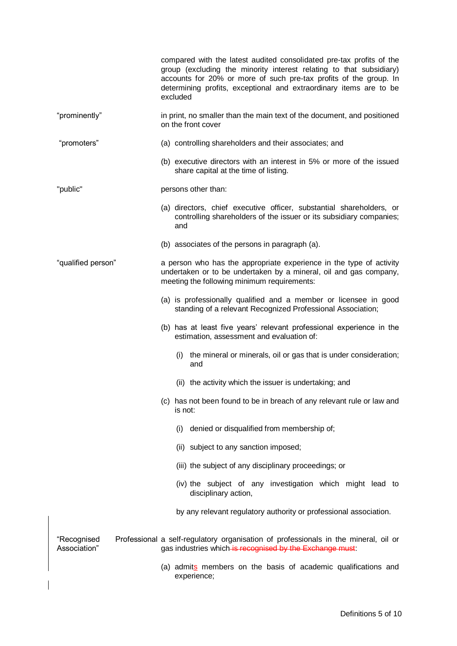|                             |  | compared with the latest audited consolidated pre-tax profits of the<br>group (excluding the minority interest relating to that subsidiary)<br>accounts for 20% or more of such pre-tax profits of the group. In<br>determining profits, exceptional and extraordinary items are to be<br>excluded |
|-----------------------------|--|----------------------------------------------------------------------------------------------------------------------------------------------------------------------------------------------------------------------------------------------------------------------------------------------------|
| "prominently"               |  | in print, no smaller than the main text of the document, and positioned<br>on the front cover                                                                                                                                                                                                      |
| "promoters"                 |  | (a) controlling shareholders and their associates; and                                                                                                                                                                                                                                             |
|                             |  | (b) executive directors with an interest in 5% or more of the issued<br>share capital at the time of listing.                                                                                                                                                                                      |
| "public"                    |  | persons other than:                                                                                                                                                                                                                                                                                |
|                             |  | (a) directors, chief executive officer, substantial shareholders, or<br>controlling shareholders of the issuer or its subsidiary companies;<br>and                                                                                                                                                 |
|                             |  | (b) associates of the persons in paragraph (a).                                                                                                                                                                                                                                                    |
| "qualified person"          |  | a person who has the appropriate experience in the type of activity<br>undertaken or to be undertaken by a mineral, oil and gas company,<br>meeting the following minimum requirements:                                                                                                            |
|                             |  | (a) is professionally qualified and a member or licensee in good<br>standing of a relevant Recognized Professional Association;                                                                                                                                                                    |
|                             |  | (b) has at least five years' relevant professional experience in the<br>estimation, assessment and evaluation of:                                                                                                                                                                                  |
|                             |  | (i) the mineral or minerals, oil or gas that is under consideration;<br>and                                                                                                                                                                                                                        |
|                             |  | (ii) the activity which the issuer is undertaking; and                                                                                                                                                                                                                                             |
|                             |  | (c) has not been found to be in breach of any relevant rule or law and<br>is not:                                                                                                                                                                                                                  |
|                             |  | denied or disqualified from membership of;<br>(i)                                                                                                                                                                                                                                                  |
|                             |  | (ii) subject to any sanction imposed;                                                                                                                                                                                                                                                              |
|                             |  | (iii) the subject of any disciplinary proceedings; or                                                                                                                                                                                                                                              |
|                             |  | (iv) the subject of any investigation which might lead to<br>disciplinary action,                                                                                                                                                                                                                  |
|                             |  | by any relevant regulatory authority or professional association.                                                                                                                                                                                                                                  |
| "Recognised<br>Association" |  | Professional a self-regulatory organisation of professionals in the mineral, oil or<br>gas industries which is recognised by the Exchange must:                                                                                                                                                    |
|                             |  | (a) admits members on the basis of academic qualifications and<br>experience;                                                                                                                                                                                                                      |

 $\overline{\phantom{a}}$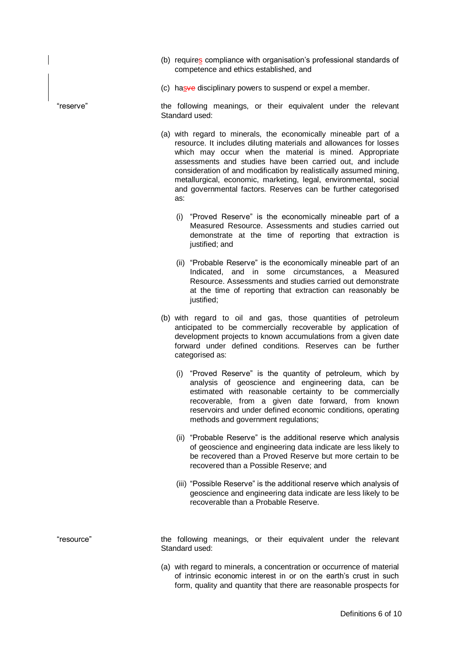- (b) requires compliance with organisation's professional standards of competence and ethics established, and
- (c) hasve disciplinary powers to suspend or expel a member.

"reserve" the following meanings, or their equivalent under the relevant Standard used:

- (a) with regard to minerals, the economically mineable part of a resource. It includes diluting materials and allowances for losses which may occur when the material is mined. Appropriate assessments and studies have been carried out, and include consideration of and modification by realistically assumed mining, metallurgical, economic, marketing, legal, environmental, social and governmental factors. Reserves can be further categorised as:
	- (i) "Proved Reserve" is the economically mineable part of a Measured Resource. Assessments and studies carried out demonstrate at the time of reporting that extraction is justified; and
	- (ii) "Probable Reserve" is the economically mineable part of an Indicated, and in some circumstances, a Measured Resource. Assessments and studies carried out demonstrate at the time of reporting that extraction can reasonably be justified;
- (b) with regard to oil and gas, those quantities of petroleum anticipated to be commercially recoverable by application of development projects to known accumulations from a given date forward under defined conditions. Reserves can be further categorised as:
	- (i) "Proved Reserve" is the quantity of petroleum, which by analysis of geoscience and engineering data, can be estimated with reasonable certainty to be commercially recoverable, from a given date forward, from known reservoirs and under defined economic conditions, operating methods and government regulations;
	- (ii) "Probable Reserve" is the additional reserve which analysis of geoscience and engineering data indicate are less likely to be recovered than a Proved Reserve but more certain to be recovered than a Possible Reserve; and
	- (iii) "Possible Reserve" is the additional reserve which analysis of geoscience and engineering data indicate are less likely to be recoverable than a Probable Reserve.

"resource" the following meanings, or their equivalent under the relevant Standard used:

> (a) with regard to minerals, a concentration or occurrence of material of intrinsic economic interest in or on the earth's crust in such form, quality and quantity that there are reasonable prospects for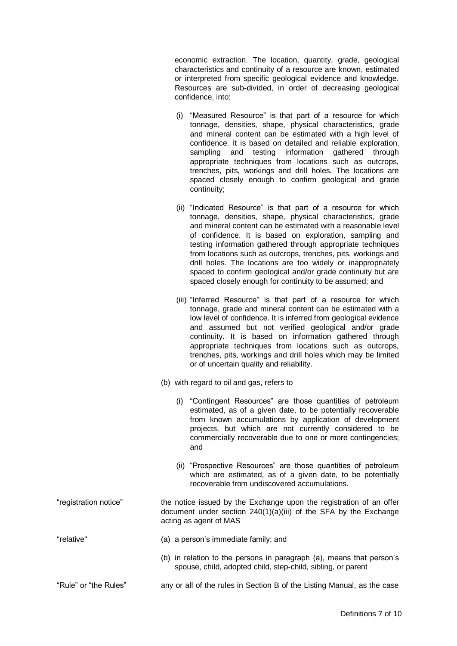economic extraction. The location, quantity, grade, geological characteristics and continuity of a resource are known, estimated or interpreted from specific geological evidence and knowledge. Resources are sub-divided, in order of decreasing geological confidence, into:

- (i) "Measured Resource" is that part of a resource for which tonnage, densities, shape, physical characteristics, grade and mineral content can be estimated with a high level of confidence. It is based on detailed and reliable exploration, sampling and testing information gathered through appropriate techniques from locations such as outcrops, trenches, pits, workings and drill holes. The locations are spaced closely enough to confirm geological and grade continuity;
- (ii) "Indicated Resource" is that part of a resource for which tonnage, densities, shape, physical characteristics, grade and mineral content can be estimated with a reasonable level of confidence. It is based on exploration, sampling and testing information gathered through appropriate techniques from locations such as outcrops, trenches, pits, workings and drill holes. The locations are too widely or inappropriately spaced to confirm geological and/or grade continuity but are spaced closely enough for continuity to be assumed; and
- (iii) "Inferred Resource" is that part of a resource for which tonnage, grade and mineral content can be estimated with a low level of confidence. It is inferred from geological evidence and assumed but not verified geological and/or grade continuity. It is based on information gathered through appropriate techniques from locations such as outcrops, trenches, pits, workings and drill holes which may be limited or of uncertain quality and reliability.
- (b) with regard to oil and gas, refers to
	- (i) "Contingent Resources" are those quantities of petroleum estimated, as of a given date, to be potentially recoverable from known accumulations by application of development projects, but which are not currently considered to be commercially recoverable due to one or more contingencies; and
	- (ii) "Prospective Resources" are those quantities of petroleum which are estimated, as of a given date, to be potentially recoverable from undiscovered accumulations.
- "registration notice" the notice issued by the Exchange upon the registration of an offer document under section 240(1)(a)(iii) of the SFA by the Exchange acting as agent of MAS
- "relative" (a) a person's immediate family; and
	- (b) in relation to the persons in paragraph (a), means that person's spouse, child, adopted child, step-child, sibling, or parent
- "Rule" or "the Rules" any or all of the rules in Section B of the Listing Manual, as the case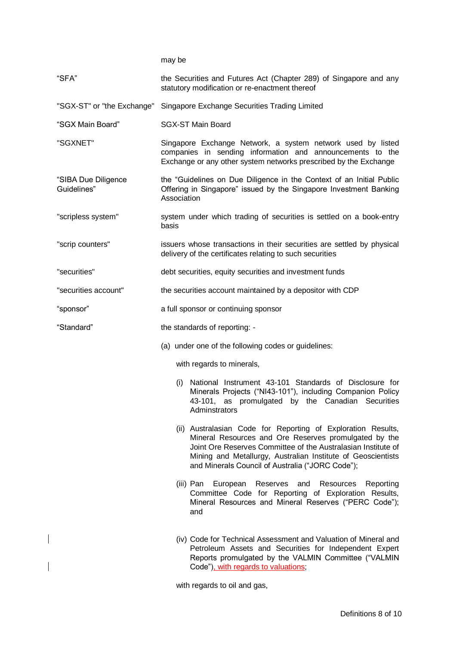may be

| "SFA"                              | the Securities and Futures Act (Chapter 289) of Singapore and any<br>statutory modification or re-enactment thereof                                                                                                                                                                                        |
|------------------------------------|------------------------------------------------------------------------------------------------------------------------------------------------------------------------------------------------------------------------------------------------------------------------------------------------------------|
|                                    | "SGX-ST" or "the Exchange" Singapore Exchange Securities Trading Limited                                                                                                                                                                                                                                   |
| "SGX Main Board"                   | <b>SGX-ST Main Board</b>                                                                                                                                                                                                                                                                                   |
| "SGXNET"                           | Singapore Exchange Network, a system network used by listed<br>companies in sending information and announcements to the<br>Exchange or any other system networks prescribed by the Exchange                                                                                                               |
| "SIBA Due Diligence<br>Guidelines" | the "Guidelines on Due Diligence in the Context of an Initial Public<br>Offering in Singapore" issued by the Singapore Investment Banking<br>Association                                                                                                                                                   |
| "scripless system"                 | system under which trading of securities is settled on a book-entry<br>basis                                                                                                                                                                                                                               |
| "scrip counters"                   | issuers whose transactions in their securities are settled by physical<br>delivery of the certificates relating to such securities                                                                                                                                                                         |
| "securities"                       | debt securities, equity securities and investment funds                                                                                                                                                                                                                                                    |
| "securities account"               | the securities account maintained by a depositor with CDP                                                                                                                                                                                                                                                  |
| "sponsor"                          | a full sponsor or continuing sponsor                                                                                                                                                                                                                                                                       |
| "Standard"                         | the standards of reporting: -                                                                                                                                                                                                                                                                              |
|                                    | (a) under one of the following codes or guidelines:                                                                                                                                                                                                                                                        |
|                                    | with regards to minerals,                                                                                                                                                                                                                                                                                  |
|                                    | (i) National Instrument 43-101 Standards of Disclosure for<br>Minerals Projects ("NI43-101"), including Companion Policy<br>43-101, as promulgated by the Canadian Securities<br>Adminstrators                                                                                                             |
|                                    | (ii) Australasian Code for Reporting of Exploration Results,<br>Mineral Resources and Ore Reserves promulgated by the<br>Joint Ore Reserves Committee of the Australasian Institute of<br>Mining and Metallurgy, Australian Institute of Geoscientists<br>and Minerals Council of Australia ("JORC Code"); |
|                                    | (iii) Pan European Reserves and Resources<br>Reporting<br>Committee Code for Reporting of Exploration Results,<br>Mineral Resources and Mineral Reserves ("PERC Code");<br>and                                                                                                                             |
|                                    | (iv) Code for Technical Assessment and Valuation of Mineral and<br>Petroleum Assets and Securities for Independent Expert<br>Reports promulgated by the VALMIN Committee ("VALMIN<br>Code"), with regards to valuations;                                                                                   |

with regards to oil and gas,

 $\overline{\phantom{a}}$ 

 $\overline{\phantom{a}}$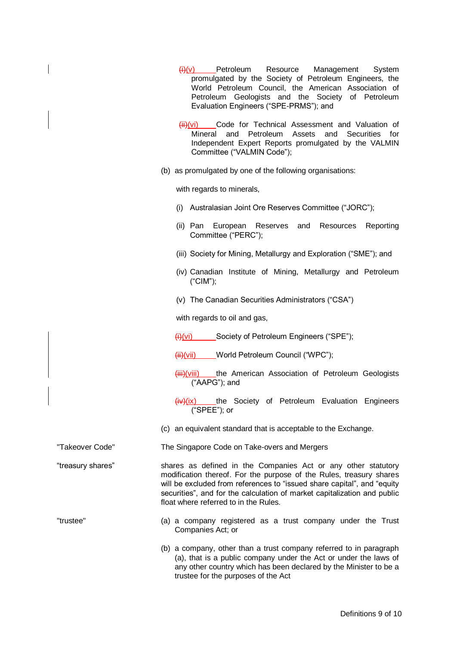|                   | $\frac{f(t)(v)}{v}$ Petroleum<br>Resource<br>Management<br>System<br>promulgated by the Society of Petroleum Engineers, the<br>World Petroleum Council, the American Association of<br>Petroleum Geologists and the Society of Petroleum<br>Evaluation Engineers ("SPE-PRMS"); and                                                   |
|-------------------|--------------------------------------------------------------------------------------------------------------------------------------------------------------------------------------------------------------------------------------------------------------------------------------------------------------------------------------|
|                   | $\frac{\overline{H}}{\overline{H}}$ (vi) Code for Technical Assessment and Valuation of<br>Petroleum<br>Assets<br>and Securities<br>and<br>Mineral<br>for<br>Independent Expert Reports promulgated by the VALMIN<br>Committee ("VALMIN Code");                                                                                      |
|                   | (b) as promulgated by one of the following organisations:                                                                                                                                                                                                                                                                            |
|                   | with regards to minerals,                                                                                                                                                                                                                                                                                                            |
|                   | (i) Australasian Joint Ore Reserves Committee ("JORC");                                                                                                                                                                                                                                                                              |
|                   | European<br>Reserves and<br>Resources<br>Reporting<br>(ii) Pan<br>Committee ("PERC");                                                                                                                                                                                                                                                |
|                   | (iii) Society for Mining, Metallurgy and Exploration ("SME"); and                                                                                                                                                                                                                                                                    |
|                   | (iv) Canadian Institute of Mining, Metallurgy and Petroleum<br>$("CIM")$ ;                                                                                                                                                                                                                                                           |
|                   | (v) The Canadian Securities Administrators ("CSA")                                                                                                                                                                                                                                                                                   |
|                   | with regards to oil and gas,                                                                                                                                                                                                                                                                                                         |
|                   | $\frac{f(t)}{f(t)}$ Society of Petroleum Engineers ("SPE");                                                                                                                                                                                                                                                                          |
|                   | (ii)(vii) World Petroleum Council ("WPC");                                                                                                                                                                                                                                                                                           |
|                   | (iii)(viii) the American Association of Petroleum Geologists<br>("AAPG"); and                                                                                                                                                                                                                                                        |
|                   | (iv)(ix) ____the Society of Petroleum Evaluation Engineers<br>("SPEE"); or                                                                                                                                                                                                                                                           |
|                   | (c) an equivalent standard that is acceptable to the Exchange.                                                                                                                                                                                                                                                                       |
| "Takeover Code"   | The Singapore Code on Take-overs and Mergers                                                                                                                                                                                                                                                                                         |
| "treasury shares" | shares as defined in the Companies Act or any other statutory<br>modification thereof. For the purpose of the Rules, treasury shares<br>will be excluded from references to "issued share capital", and "equity<br>securities", and for the calculation of market capitalization and public<br>float where referred to in the Rules. |
| "trustee"         | (a) a company registered as a trust company under the Trust<br>Companies Act; or                                                                                                                                                                                                                                                     |
|                   | (b) a company, other than a trust company referred to in paragraph<br>(a), that is a public company under the Act or under the laws of<br>any other country which has been declared by the Minister to be a<br>trustee for the purposes of the Act                                                                                   |

 $\begin{array}{c} \hline \end{array}$